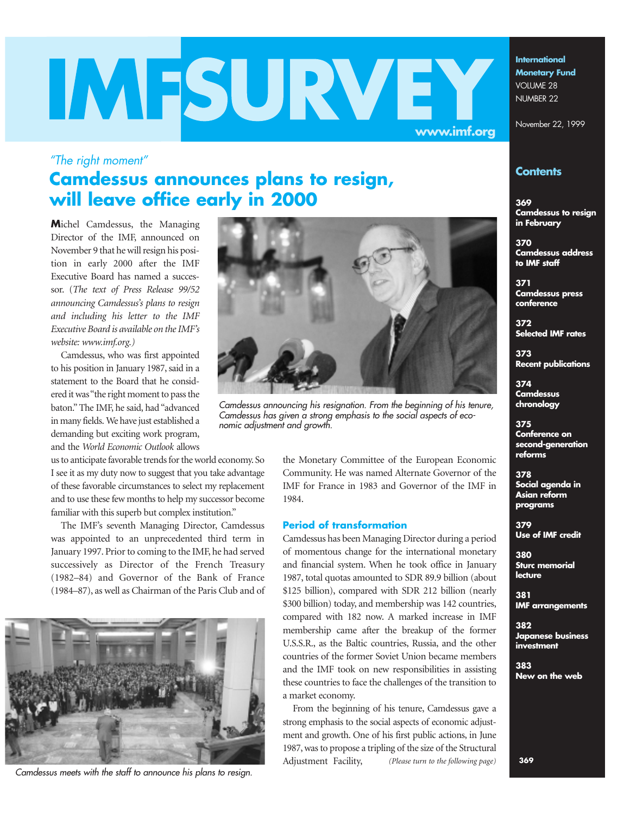# **WESURVEY**

**Monetary Fund** VOLUME 28 NUMBER 22

**International**

November 22, 1999

## **Contents**

**369 Camdessus to resign in February**

**370 Camdessus address to IMF staff**

**371 Camdessus press conference** 

**372 Selected IMF rates**

**373 Recent publications**

**374 Camdessus chronology** 

**375 Conference on second-generation reforms**

#### **378 Social agenda in Asian reform programs**

**379 Use of IMF credit**

**380 Sturc memorial lecture**

**381 IMF arrangements**

**382 Japanese business investment**

**383 New on the web**

# **Camdessus announces plans to resign, will leave office early in 2000**

**M**ichel Camdessus, the Managing Director of the IMF, announced on November 9 that he will resign his position in early 2000 after the IMF Executive Board has named a successor. (*The text of Press Release 99/52 announcing Camdessus's plans to resign and including his letter to the IMF Executive Board is available on the IMF's website: www.imf.org.)*

*"The right moment"*

Camdessus, who was first appointed to his position in January 1987, said in a statement to the Board that he considered it was "the right moment to pass the baton." The IMF, he said, had "advanced in many fields. We have just established a demanding but exciting work program, and the *World Economic Outlook* allows

us to anticipate favorable trends for the world economy. So I see it as my duty now to suggest that you take advantage of these favorable circumstances to select my replacement and to use these few months to help my successor become familiar with this superb but complex institution."

The IMF's seventh Managing Director, Camdessus was appointed to an unprecedented third term in January 1997. Prior to coming to the IMF, he had served successively as Director of the French Treasury (1982–84) and Governor of the Bank of France (1984–87), as well as Chairman of the Paris Club and of



*Camdessus meets with the staff to announce his plans to resign.*



*Camdessus announcing his resignation. From the beginning of his tenure, Camdessus has given a strong emphasis to the social aspects of economic adjustment and growth.*

the Monetary Committee of the European Economic Community. He was named Alternate Governor of the IMF for France in 1983 and Governor of the IMF in 1984.

## **Period of transformation**

Camdessus has been Managing Director during a period of momentous change for the international monetary and financial system. When he took office in January 1987, total quotas amounted to SDR 89.9 billion (about \$125 billion), compared with SDR 212 billion (nearly \$300 billion) today, and membership was 142 countries, compared with 182 now. A marked increase in IMF membership came after the breakup of the former U.S.S.R., as the Baltic countries, Russia, and the other countries of the former Soviet Union became members and the IMF took on new responsibilities in assisting these countries to face the challenges of the transition to a market economy.

From the beginning of his tenure, Camdessus gave a strong emphasis to the social aspects of economic adjustment and growth. One of his first public actions, in June 1987, was to propose a tripling of the size of the Structural Adjustment Facility, *(Please turn to the following page)* **369**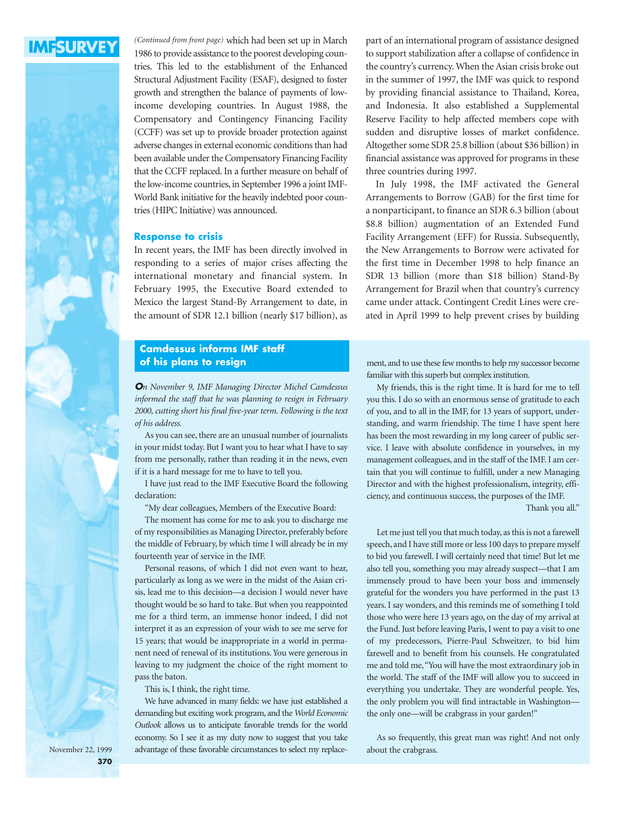

(Continued from front page) which had been set up in March 1986 to provide assistance to the poorest developing countries. This led to the establishment of the Enhanced Structural Adjustment Facility (ESAF), designed to foster growth and strengthen the balance of payments of lowincome developing countries. In August 1988, the Compensatory and Contingency Financing Facility (CCFF) was set up to provide broader protection against adverse changes in external economic conditions than had been available under the Compensatory Financing Facility that the CCFF replaced. In a further measure on behalf of the low-income countries, in September 1996 a joint IMF-World Bank initiative for the heavily indebted poor countries (HIPC Initiative) was announced.

#### **Response to crisis**

In recent years, the IMF has been directly involved in responding to a series of major crises affecting the international monetary and financial system. In February 1995, the Executive Board extended to Mexico the largest Stand-By Arrangement to date, in the amount of SDR 12.1 billion (nearly \$17 billion), as

## **Camdessus informs IMF staff of his plans to resign**

*On November 9, IMF Managing Director Michel Camdessus informed the staff that he was planning to resign in February 2000, cutting short his final five-year term. Following is the text of his address.*

As you can see, there are an unusual number of journalists in your midst today. But I want you to hear what I have to say from me personally, rather than reading it in the news, even if it is a hard message for me to have to tell you.

I have just read to the IMF Executive Board the following declaration:

"My dear colleagues, Members of the Executive Board:

The moment has come for me to ask you to discharge me of my responsibilities as Managing Director, preferably before the middle of February, by which time I will already be in my fourteenth year of service in the IMF.

Personal reasons, of which I did not even want to hear, particularly as long as we were in the midst of the Asian crisis, lead me to this decision—a decision I would never have thought would be so hard to take. But when you reappointed me for a third term, an immense honor indeed, I did not interpret it as an expression of your wish to see me serve for 15 years; that would be inappropriate in a world in permanent need of renewal of its institutions. You were generous in leaving to my judgment the choice of the right moment to pass the baton.

This is, I think, the right time.

We have advanced in many fields: we have just established a demanding but exciting work program, and the *World Economic Outlook* allows us to anticipate favorable trends for the world economy. So I see it as my duty now to suggest that you take advantage of these favorable circumstances to select my replacepart of an international program of assistance designed to support stabilization after a collapse of confidence in the country's currency. When the Asian crisis broke out in the summer of 1997, the IMF was quick to respond by providing financial assistance to Thailand, Korea, and Indonesia. It also established a Supplemental Reserve Facility to help affected members cope with sudden and disruptive losses of market confidence. Altogether some SDR 25.8 billion (about \$36 billion) in financial assistance was approved for programs in these three countries during 1997.

In July 1998, the IMF activated the General Arrangements to Borrow (GAB) for the first time for a nonparticipant, to finance an SDR 6.3 billion (about \$8.8 billion) augmentation of an Extended Fund Facility Arrangement (EFF) for Russia. Subsequently, the New Arrangements to Borrow were activated for the first time in December 1998 to help finance an SDR 13 billion (more than \$18 billion) Stand-By Arrangement for Brazil when that country's currency came under attack. Contingent Credit Lines were created in April 1999 to help prevent crises by building

ment, and to use these few months to help my successor become familiar with this superb but complex institution.

My friends, this is the right time. It is hard for me to tell you this. I do so with an enormous sense of gratitude to each of you, and to all in the IMF, for 13 years of support, understanding, and warm friendship. The time I have spent here has been the most rewarding in my long career of public service. I leave with absolute confidence in yourselves, in my management colleagues, and in the staff of the IMF. I am certain that you will continue to fulfill, under a new Managing Director and with the highest professionalism, integrity, efficiency, and continuous success, the purposes of the IMF.

Thank you all."

Let me just tell you that much today, as this is not a farewell speech, and I have still more or less 100 days to prepare myself to bid you farewell. I will certainly need that time! But let me also tell you, something you may already suspect—that I am immensely proud to have been your boss and immensely grateful for the wonders you have performed in the past 13 years. I say wonders, and this reminds me of something I told those who were here 13 years ago, on the day of my arrival at the Fund. Just before leaving Paris, I went to pay a visit to one of my predecessors, Pierre-Paul Schweitzer, to bid him farewell and to benefit from his counsels. He congratulated me and told me,"You will have the most extraordinary job in the world. The staff of the IMF will allow you to succeed in everything you undertake. They are wonderful people. Yes, the only problem you will find intractable in Washington the only one—will be crabgrass in your garden!"

As so frequently, this great man was right! And not only about the crabgrass.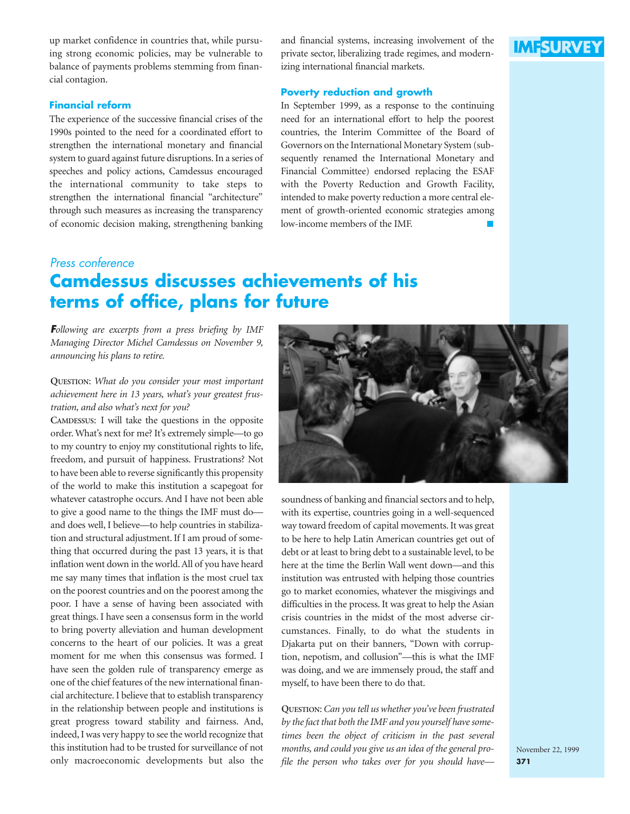up market confidence in countries that, while pursuing strong economic policies, may be vulnerable to balance of payments problems stemming from financial contagion.

#### **Financial reform**

The experience of the successive financial crises of the 1990s pointed to the need for a coordinated effort to strengthen the international monetary and financial system to guard against future disruptions. In a series of speeches and policy actions, Camdessus encouraged the international community to take steps to strengthen the international financial "architecture" through such measures as increasing the transparency of economic decision making, strengthening banking

and financial systems, increasing involvement of the private sector, liberalizing trade regimes, and modernizing international financial markets.

#### **Poverty reduction and growth**

In September 1999, as a response to the continuing need for an international effort to help the poorest countries, the Interim Committee of the Board of Governors on the International Monetary System (subsequently renamed the International Monetary and Financial Committee) endorsed replacing the ESAF with the Poverty Reduction and Growth Facility, intended to make poverty reduction a more central element of growth-oriented economic strategies among low-income members of the IMF.

## *Press conference*

# **Camdessus discusses achievements of his terms of office, plans for future**

*Following are excerpts from a press briefing by IMF Managing Director Michel Camdessus on November 9, announcing his plans to retire.*

## **QUESTION**: *What do you consider your most important achievement here in 13 years, what's your greatest frustration, and also what's next for you?*

**CAMDESSUS**: I will take the questions in the opposite order. What's next for me? It's extremely simple—to go to my country to enjoy my constitutional rights to life, freedom, and pursuit of happiness. Frustrations? Not to have been able to reverse significantly this propensity of the world to make this institution a scapegoat for whatever catastrophe occurs. And I have not been able to give a good name to the things the IMF must do and does well, I believe—to help countries in stabilization and structural adjustment. If I am proud of something that occurred during the past 13 years, it is that inflation went down in the world. All of you have heard me say many times that inflation is the most cruel tax on the poorest countries and on the poorest among the poor. I have a sense of having been associated with great things. I have seen a consensus form in the world to bring poverty alleviation and human development concerns to the heart of our policies. It was a great moment for me when this consensus was formed. I have seen the golden rule of transparency emerge as one of the chief features of the new international financial architecture. I believe that to establish transparency in the relationship between people and institutions is great progress toward stability and fairness. And, indeed, I was very happy to see the world recognize that this institution had to be trusted for surveillance of not only macroeconomic developments but also the



soundness of banking and financial sectors and to help, with its expertise, countries going in a well-sequenced way toward freedom of capital movements. It was great to be here to help Latin American countries get out of debt or at least to bring debt to a sustainable level, to be here at the time the Berlin Wall went down—and this institution was entrusted with helping those countries go to market economies, whatever the misgivings and difficulties in the process. It was great to help the Asian crisis countries in the midst of the most adverse circumstances. Finally, to do what the students in Djakarta put on their banners, "Down with corruption, nepotism, and collusion"—this is what the IMF was doing, and we are immensely proud, the staff and myself, to have been there to do that.

**QUESTION**: *Can you tell us whether you've been frustrated by the fact that both the IMF and you yourself have sometimes been the object of criticism in the past several months, and could you give us an idea of the general profile the person who takes over for you should have—*

# **IMFSURVEY**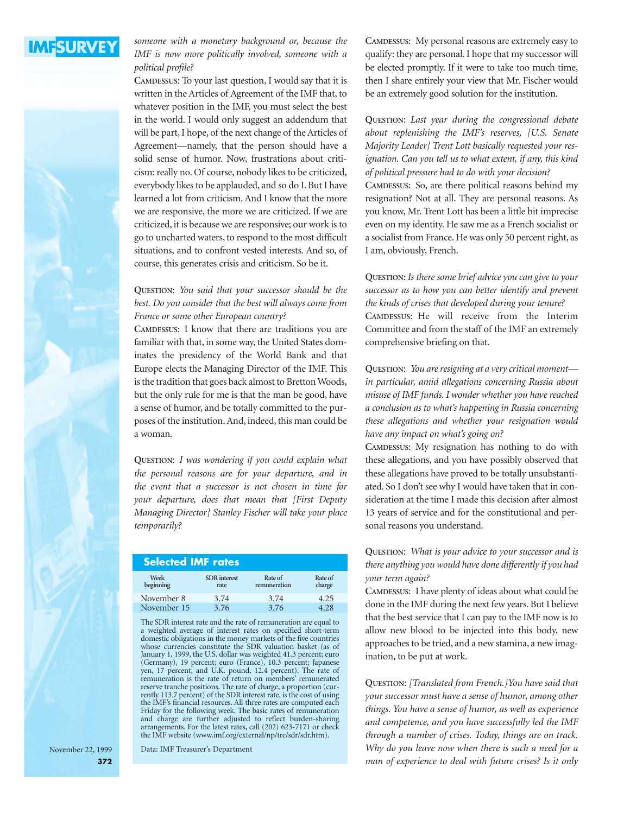

*someone with a monetary background or, because the IMF is now more politically involved, someone with a political profile?*

**CAMDESSUS**: To your last question, I would say that it is written in the Articles of Agreement of the IMF that, to whatever position in the IMF, you must select the best in the world. I would only suggest an addendum that will be part, I hope, of the next change of the Articles of Agreement—namely, that the person should have a solid sense of humor. Now, frustrations about criticism: really no. Of course, nobody likes to be criticized, everybody likes to be applauded, and so do I. But I have learned a lot from criticism. And I know that the more we are responsive, the more we are criticized. If we are criticized, it is because we are responsive; our work is to go to uncharted waters, to respond to the most difficult situations, and to confront vested interests. And so, of course, this generates crisis and criticism. So be it.

### **QUESTION**: *You said that your successor should be the best. Do you consider that the best will always come from France or some other European country?*

**CAMDESSUS**: I know that there are traditions you are familiar with that, in some way, the United States dominates the presidency of the World Bank and that Europe elects the Managing Director of the IMF. This is the tradition that goes back almost to Bretton Woods, but the only rule for me is that the man be good, have a sense of humor, and be totally committed to the purposes of the institution. And, indeed, this man could be a woman.

**QUESTION**: *I was wondering if you could explain what the personal reasons are for your departure, and in the event that a successor is not chosen in time for your departure, does that mean that [First Deputy Managing Director] Stanley Fischer will take your place temporarily?*

| <b>Selected IMF rates</b> |                             |                         |                   |  |  |  |  |
|---------------------------|-----------------------------|-------------------------|-------------------|--|--|--|--|
| Week<br>beginning         | <b>SDR</b> interest<br>rate | Rate of<br>remuneration | Rate of<br>charge |  |  |  |  |
| November 8                | 3.74                        | 3.74                    | 4.25              |  |  |  |  |
| November 15               | 3.76                        | 3.76                    | 4.28              |  |  |  |  |

The SDR interest rate and the rate of remuneration are equal to a weighted average of interest rates on specified short-term domestic obligations in the money markets of the five countries whose currencies constitute the SDR valuation basket (as of January 1, 1999, the U.S. dollar was weighted 41.3 percent; euro (Germany), 19 percent; euro (France), 10.3 percent; Japanese yen, 17 percent; and U.K. pound, 12.4 percent). The rate of remuneration is the rate of return on members' remunerated reserve tranche positions. The rate of charge, a proportion (currently 113.7 percent) of the SDR interest rate, is the cost of using the IMF's financial resources. All three rates are computed each Friday for the following week. The basic rates of remuneration and charge are further adjusted to reflect burden-sharing arrangements. For the latest rates, call (202) 623-7171 or check the IMF website (www.imf.org/external/np/tre/sdr/sdr.htm).

Data: IMF Treasurer's Department

November 22, 1999 **372** **CAMDESSUS**: My personal reasons are extremely easy to qualify: they are personal. I hope that my successor will be elected promptly. If it were to take too much time, then I share entirely your view that Mr. Fischer would be an extremely good solution for the institution.

**QUESTION**: *Last year during the congressional debate about replenishing the IMF's reserves, [U.S. Senate Majority Leader] Trent Lott basically requested your resignation. Can you tell us to what extent, if any, this kind of political pressure had to do with your decision?*  **CAMDESSUS**: So, are there political reasons behind my resignation? Not at all. They are personal reasons. As you know, Mr. Trent Lott has been a little bit imprecise even on my identity. He saw me as a French socialist or a socialist from France. He was only 50 percent right, as I am, obviously, French.

**QUESTION**: *Is there some brief advice you can give to your successor as to how you can better identify and prevent the kinds of crises that developed during your tenure?* **CAMDESSUS**: He will receive from the Interim Committee and from the staff of the IMF an extremely comprehensive briefing on that.

**QUESTION**: *You are resigning at a very critical moment in particular, amid allegations concerning Russia about misuse of IMF funds. I wonder whether you have reached a conclusion as to what's happening in Russia concerning these allegations and whether your resignation would have any impact on what's going on?*

**CAMDESSUS**: My resignation has nothing to do with these allegations, and you have possibly observed that these allegations have proved to be totally unsubstantiated. So I don't see why I would have taken that in consideration at the time I made this decision after almost 13 years of service and for the constitutional and personal reasons you understand.

**QUESTION**: *What is your advice to your successor and is there anything you would have done differently if you had your term again?*

**CAMDESSUS**: I have plenty of ideas about what could be done in the IMF during the next few years. But I believe that the best service that I can pay to the IMF now is to allow new blood to be injected into this body, new approaches to be tried, and a new stamina, a new imagination, to be put at work.

**QUESTION**: *[Translated from French.]You have said that your successor must have a sense of humor, among other things. You have a sense of humor, as well as experience and competence, and you have successfully led the IMF through a number of crises. Today, things are on track. Why do you leave now when there is such a need for a man of experience to deal with future crises? Is it only*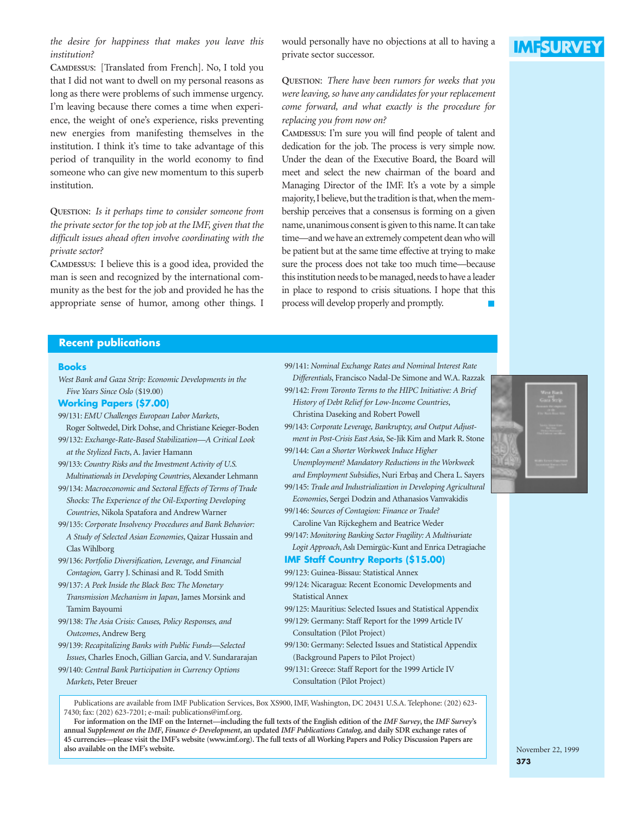*the desire for happiness that makes you leave this institution?*

**CAMDESSUS**: [Translated from French]. No, I told you that I did not want to dwell on my personal reasons as long as there were problems of such immense urgency. I'm leaving because there comes a time when experience, the weight of one's experience, risks preventing new energies from manifesting themselves in the institution. I think it's time to take advantage of this period of tranquility in the world economy to find someone who can give new momentum to this superb institution.

**QUESTION**: *Is it perhaps time to consider someone from the private sector for the top job at the IMF, given that the difficult issues ahead often involve coordinating with the private sector?*

**CAMDESSUS**: I believe this is a good idea, provided the man is seen and recognized by the international community as the best for the job and provided he has the appropriate sense of humor, among other things. I would personally have no objections at all to having a private sector successor.

## **QUESTION**: *There have been rumors for weeks that you were leaving, so have any candidates for your replacement come forward, and what exactly is the procedure for replacing you from now on?*

**CAMDESSUS**: I'm sure you will find people of talent and dedication for the job. The process is very simple now. Under the dean of the Executive Board, the Board will meet and select the new chairman of the board and Managing Director of the IMF. It's a vote by a simple majority, I believe, but the tradition is that, when the membership perceives that a consensus is forming on a given name, unanimous consent is given to this name. It can take time—and we have an extremely competent dean who will be patient but at the same time effective at trying to make sure the process does not take too much time—because this institution needs to be managed, needs to have a leader in place to respond to crisis situations. I hope that this process will develop properly and promptly.

99/141: *Nominal Exchange Rates and Nominal Interest Rate Differentials*, Francisco Nadal-De Simone and W.A. Razzak 99/142: *From Toronto Terms to the HIPC Initiative: A Brief History of Debt Relief for Low-Income Countries*, Christina Daseking and Robert Powell

99/143: *Corporate Leverage, Bankruptcy, and Output Adjustment in Post-Crisis East Asia*, Se-Jik Kim and Mark R. Stone

*Unemployment? Mandatory Reductions in the Workweek and Employment Subsidies*, Nuri Erba¸s and Chera L. Sayers 99/145: *Trade and Industrialization in Developing Agricultural Economies*, Sergei Dodzin and Athanasios Vamvakidis

99/144: *Can a Shorter Workweek Induce Higher* 

99/146: *Sources of Contagion: Finance or Trade?* Caroline Van Rijckeghem and Beatrice Weder

#### **Recent publications**

#### **Books**

*West Bank and Gaza Strip: Economic Developments in the Five Years Since Oslo* (\$19.00)

#### **Working Papers (\$7.00)**

- 99/131: *EMU Challenges European Labor Markets*, Roger Soltwedel, Dirk Dohse, and Christiane Keieger-Boden 99/132: *Exchange-Rate-Based Stabilization—A Critical Look*
- *at the Stylized Facts*, A. Javier Hamann 99/133: *Country Risks and the Investment Activity of U.S.*
- *Multinationals in Developing Countries*, Alexander Lehmann 99/134: *Macroeconomic and Sectoral Effects of Terms of Trade*
- *Shocks: The Experience of the Oil-Exporting Developing Countries*, Nikola Spatafora and Andrew Warner 99/135: *Corporate Insolvency Procedures and Bank Behavior:*
- *A Study of Selected Asian Economies*, Qaizar Hussain and Clas Wihlborg
- 99/136: *Portfolio Diversification, Leverage, and Financial Contagion,* Garry J. Schinasi and R. Todd Smith
- 99/137: *A Peek Inside the Black Box: The Monetary Transmission Mechanism in Japan*, James Morsink and Tamim Bayoumi
- 99/138: *The Asia Crisis: Causes, Policy Responses, and Outcomes*, Andrew Berg
- 99/139: *Recapitalizing Banks with Public Funds—Selected Issues*, Charles Enoch, Gillian Garcia, and V. Sundararajan
- 99/140: *Central Bank Participation in Currency Options Markets*, Peter Breuer
- 99/147: *Monitoring Banking Sector Fragility: A Multivariate Logit Approach*, Aslı Demirgüc-Kunt and Enrica Detragiache **IMF Staff Country Reports (\$15.00)** 99/123: Guinea-Bissau: Statistical Annex
	-
	- 99/124: Nicaragua: Recent Economic Developments and Statistical Annex
	- 99/125: Mauritius: Selected Issues and Statistical Appendix
	- 99/129: Germany: Staff Report for the 1999 Article IV Consultation (Pilot Project)
	- 99/130: Germany: Selected Issues and Statistical Appendix (Background Papers to Pilot Project)
	- 99/131: Greece: Staff Report for the 1999 Article IV Consultation (Pilot Project)

Publications are available from IMF Publication Services, Box XS900, IMF, Washington, DC 20431 U.S.A. Telephone: (202) 623- 7430; fax: (202) 623-7201; e-mail: publications@imf.org.

**For information on the IMF on the Internet—including the full texts of the English edition of the** *IMF Survey***, the** *IMF Survey***'s annual** *Supplement on the IMF***,** *Finance & Development***, an updated** *IMF Publications Catalog***, and daily SDR exchange rates of 45 currencies—please visit the IMF's website (www.imf.org). The full texts of all Working Papers and Policy Discussion Papers are also available on the IMF's website.**



# **IMFSURVE**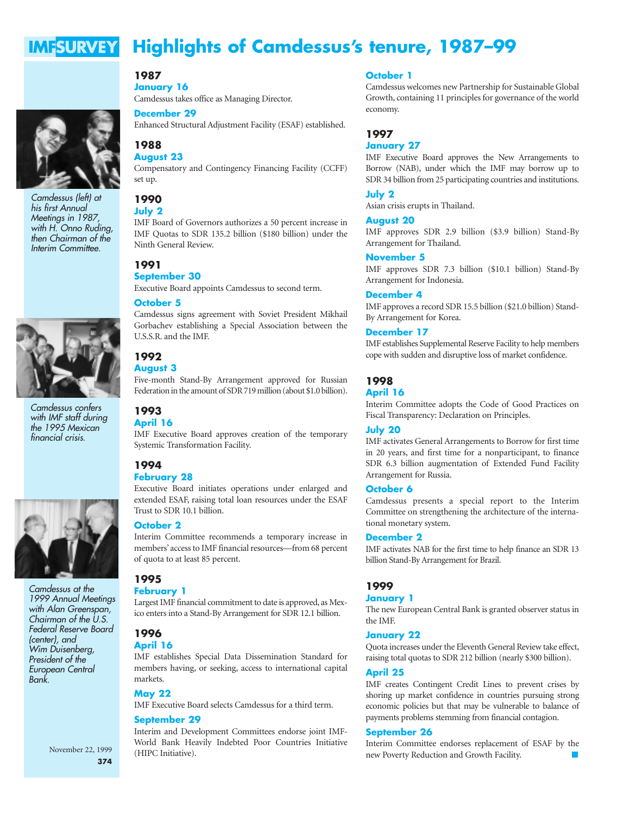#### **Highlights of Camdessus's tenure, 1987–99 IMFSURVEY**



*Camdessus (left) at his first Annual Meetings in 1987, with H. Onno Ruding, then Chairman of the Interim Committee.*



*Camdessus confers with IMF staff during the 1995 Mexican financial crisis.*



*Camdessus at the 1999 Annual Meetings with Alan Greenspan, Chairman of the U.S. Federal Reserve Board (center), and Wim Duisenberg, President of the European Central Bank.*

#### November 22, 1999 **374**

**January 16** Camdessus takes office as Managing Director.

#### **December 29**

Enhanced Structural Adjustment Facility (ESAF) established.

#### **1988 August 23**

**1987**

Compensatory and Contingency Financing Facility (CCFF) set up.

#### **1990 July 2**

IMF Board of Governors authorizes a 50 percent increase in IMF Quotas to SDR 135.2 billion (\$180 billion) under the Ninth General Review.

## **1991**

## **September 30**

Executive Board appoints Camdessus to second term.

#### **October 5**

Camdessus signs agreement with Soviet President Mikhail Gorbachev establishing a Special Association between the U.S.S.R. and the IMF.

**1992 August 3** Five-month Stand-By Arrangement approved for Russian Federation in the amount of SDR 719 million (about \$1.0 billion).

## **April 16** IMF Executive Board approves creation of the temporary Systemic Transformation Facility.



**1993**

Executive Board initiates operations under enlarged and extended ESAF, raising total loan resources under the ESAF Trust to SDR 10.1 billion.

### **October 2**

Interim Committee recommends a temporary increase in members' access to IMF financial resources—from 68 percent of quota to at least 85 percent.

## **1995**

## **February 1**

Largest IMF financial commitment to date is approved, as Mexico enters into a Stand-By Arrangement for SDR 12.1 billion.

#### **1996 April 16**

IMF establishes Special Data Dissemination Standard for members having, or seeking, access to international capital markets.

#### **May 22**

IMF Executive Board selects Camdessus for a third term.

#### **September 29**

Interim and Development Committees endorse joint IMF-World Bank Heavily Indebted Poor Countries Initiative (HIPC Initiative).

#### **October 1**

Camdessus welcomes new Partnership for Sustainable Global Growth, containing 11 principles for governance of the world economy.

#### **1997**

#### **January 27**

IMF Executive Board approves the New Arrangements to Borrow (NAB), under which the IMF may borrow up to SDR 34 billion from 25 participating countries and institutions.

#### **July 2**

Asian crisis erupts in Thailand.

#### **August 20**

IMF approves SDR 2.9 billion (\$3.9 billion) Stand-By Arrangement for Thailand.

#### **November 5**

IMF approves SDR 7.3 billion (\$10.1 billion) Stand-By Arrangement for Indonesia.

#### **December 4**

IMF approves a record SDR 15.5 billion (\$21.0 billion) Stand-By Arrangement for Korea.

#### **December 17**

IMF establishes Supplemental Reserve Facility to help members cope with sudden and disruptive loss of market confidence.

#### **1998**

#### **April 16**

Interim Committee adopts the Code of Good Practices on Fiscal Transparency: Declaration on Principles.

#### **July 20**

IMF activates General Arrangements to Borrow for first time in 20 years, and first time for a nonparticipant, to finance SDR 6.3 billion augmentation of Extended Fund Facility Arrangement for Russia.

#### **October 6**

Camdessus presents a special report to the Interim Committee on strengthening the architecture of the international monetary system.

#### **December 2**

IMF activates NAB for the first time to help finance an SDR 13 billion Stand-By Arrangement for Brazil.

#### **1999**

#### **January 1**

The new European Central Bank is granted observer status in the IMF.

#### **January 22**

Quota increases under the Eleventh General Review take effect, raising total quotas to SDR 212 billion (nearly \$300 billion).

#### **April 25**

IMF creates Contingent Credit Lines to prevent crises by shoring up market confidence in countries pursuing strong economic policies but that may be vulnerable to balance of payments problems stemming from financial contagion.

#### **September 26**

Interim Committee endorses replacement of ESAF by the new Poverty Reduction and Growth Facility.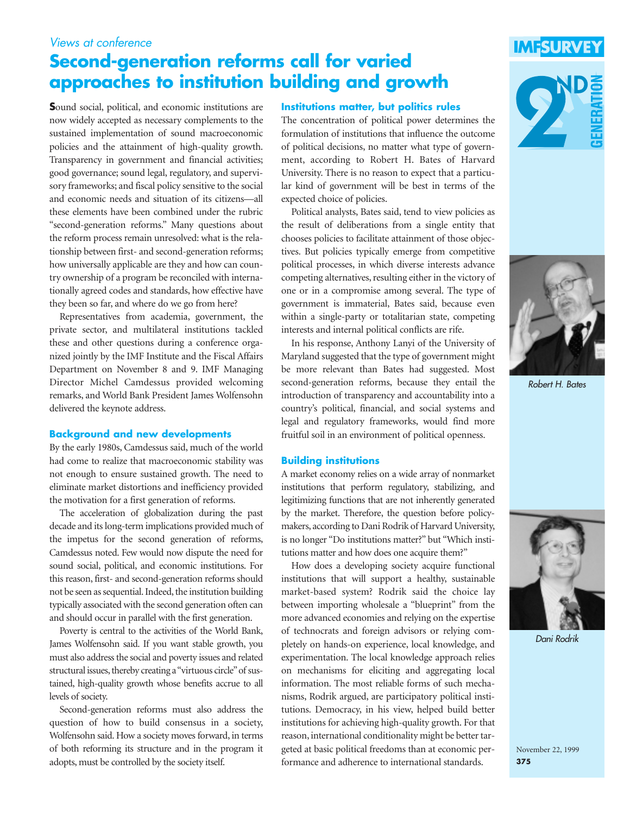# *Views at conference*

# **Second-generation reforms call for varied approaches to institution building and growth**

**S**ound social, political, and economic institutions are now widely accepted as necessary complements to the sustained implementation of sound macroeconomic policies and the attainment of high-quality growth. Transparency in government and financial activities; good governance; sound legal, regulatory, and supervisory frameworks; and fiscal policy sensitive to the social and economic needs and situation of its citizens—all these elements have been combined under the rubric "second-generation reforms." Many questions about the reform process remain unresolved: what is the relationship between first- and second-generation reforms; how universally applicable are they and how can country ownership of a program be reconciled with internationally agreed codes and standards, how effective have they been so far, and where do we go from here?

Representatives from academia, government, the private sector, and multilateral institutions tackled these and other questions during a conference organized jointly by the IMF Institute and the Fiscal Affairs Department on November 8 and 9. IMF Managing Director Michel Camdessus provided welcoming remarks, and World Bank President James Wolfensohn delivered the keynote address.

#### **Background and new developments**

By the early 1980s, Camdessus said, much of the world had come to realize that macroeconomic stability was not enough to ensure sustained growth. The need to eliminate market distortions and inefficiency provided the motivation for a first generation of reforms.

The acceleration of globalization during the past decade and its long-term implications provided much of the impetus for the second generation of reforms, Camdessus noted. Few would now dispute the need for sound social, political, and economic institutions. For this reason, first- and second-generation reforms should not be seen as sequential. Indeed, the institution building typically associated with the second generation often can and should occur in parallel with the first generation.

Poverty is central to the activities of the World Bank, James Wolfensohn said. If you want stable growth, you must also address the social and poverty issues and related structural issues, thereby creating a "virtuous circle" of sustained, high-quality growth whose benefits accrue to all levels of society.

Second-generation reforms must also address the question of how to build consensus in a society, Wolfensohn said. How a society moves forward, in terms of both reforming its structure and in the program it adopts, must be controlled by the society itself.



**IMFSURVE** 



The concentration of political power determines the formulation of institutions that influence the outcome of political decisions, no matter what type of government, according to Robert H. Bates of Harvard University. There is no reason to expect that a particular kind of government will be best in terms of the expected choice of policies.

Political analysts, Bates said, tend to view policies as the result of deliberations from a single entity that chooses policies to facilitate attainment of those objectives. But policies typically emerge from competitive political processes, in which diverse interests advance competing alternatives, resulting either in the victory of one or in a compromise among several. The type of government is immaterial, Bates said, because even within a single-party or totalitarian state, competing interests and internal political conflicts are rife.

In his response, Anthony Lanyi of the University of Maryland suggested that the type of government might be more relevant than Bates had suggested. Most second-generation reforms, because they entail the introduction of transparency and accountability into a country's political, financial, and social systems and legal and regulatory frameworks, would find more fruitful soil in an environment of political openness.

#### **Building institutions**

A market economy relies on a wide array of nonmarket institutions that perform regulatory, stabilizing, and legitimizing functions that are not inherently generated by the market. Therefore, the question before policymakers, according to Dani Rodrik of Harvard University, is no longer "Do institutions matter?" but "Which institutions matter and how does one acquire them?"

How does a developing society acquire functional institutions that will support a healthy, sustainable market-based system? Rodrik said the choice lay between importing wholesale a "blueprint" from the more advanced economies and relying on the expertise of technocrats and foreign advisors or relying completely on hands-on experience, local knowledge, and experimentation. The local knowledge approach relies on mechanisms for eliciting and aggregating local information. The most reliable forms of such mechanisms, Rodrik argued, are participatory political institutions. Democracy, in his view, helped build better institutions for achieving high-quality growth. For that reason, international conditionality might be better targeted at basic political freedoms than at economic performance and adherence to international standards.



*Robert H. Bates*



*Dani Rodrik*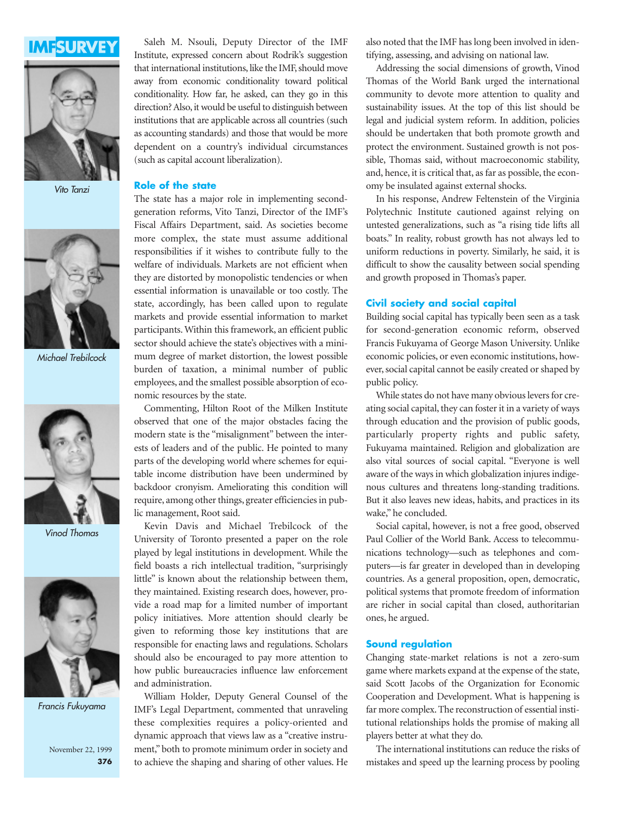



*Vito Tanzi*



*Michael Trebilcock*



*Vinod Thomas*



*Francis Fukuyama*

November 22, 1999 **376**

Saleh M. Nsouli, Deputy Director of the IMF Institute, expressed concern about Rodrik's suggestion that international institutions, like the IMF, should move away from economic conditionality toward political conditionality. How far, he asked, can they go in this direction? Also, it would be useful to distinguish between institutions that are applicable across all countries (such as accounting standards) and those that would be more dependent on a country's individual circumstances (such as capital account liberalization).

#### **Role of the state**

The state has a major role in implementing secondgeneration reforms, Vito Tanzi, Director of the IMF's Fiscal Affairs Department, said. As societies become more complex, the state must assume additional responsibilities if it wishes to contribute fully to the welfare of individuals. Markets are not efficient when they are distorted by monopolistic tendencies or when essential information is unavailable or too costly. The state, accordingly, has been called upon to regulate markets and provide essential information to market participants. Within this framework, an efficient public sector should achieve the state's objectives with a minimum degree of market distortion, the lowest possible burden of taxation, a minimal number of public employees, and the smallest possible absorption of economic resources by the state.

Commenting, Hilton Root of the Milken Institute observed that one of the major obstacles facing the modern state is the "misalignment" between the interests of leaders and of the public. He pointed to many parts of the developing world where schemes for equitable income distribution have been undermined by backdoor cronyism. Ameliorating this condition will require, among other things, greater efficiencies in public management, Root said.

Kevin Davis and Michael Trebilcock of the University of Toronto presented a paper on the role played by legal institutions in development. While the field boasts a rich intellectual tradition, "surprisingly little" is known about the relationship between them, they maintained. Existing research does, however, provide a road map for a limited number of important policy initiatives. More attention should clearly be given to reforming those key institutions that are responsible for enacting laws and regulations. Scholars should also be encouraged to pay more attention to how public bureaucracies influence law enforcement and administration.

William Holder, Deputy General Counsel of the IMF's Legal Department, commented that unraveling these complexities requires a policy-oriented and dynamic approach that views law as a "creative instrument," both to promote minimum order in society and to achieve the shaping and sharing of other values. He also noted that the IMF has long been involved in identifying, assessing, and advising on national law.

Addressing the social dimensions of growth, Vinod Thomas of the World Bank urged the international community to devote more attention to quality and sustainability issues. At the top of this list should be legal and judicial system reform. In addition, policies should be undertaken that both promote growth and protect the environment. Sustained growth is not possible, Thomas said, without macroeconomic stability, and, hence, it is critical that, as far as possible, the economy be insulated against external shocks.

In his response, Andrew Feltenstein of the Virginia Polytechnic Institute cautioned against relying on untested generalizations, such as "a rising tide lifts all boats." In reality, robust growth has not always led to uniform reductions in poverty. Similarly, he said, it is difficult to show the causality between social spending and growth proposed in Thomas's paper.

#### **Civil society and social capital**

Building social capital has typically been seen as a task for second-generation economic reform, observed Francis Fukuyama of George Mason University. Unlike economic policies, or even economic institutions, however, social capital cannot be easily created or shaped by public policy.

While states do not have many obvious levers for creating social capital, they can foster it in a variety of ways through education and the provision of public goods, particularly property rights and public safety, Fukuyama maintained. Religion and globalization are also vital sources of social capital. "Everyone is well aware of the ways in which globalization injures indigenous cultures and threatens long-standing traditions. But it also leaves new ideas, habits, and practices in its wake," he concluded.

Social capital, however, is not a free good, observed Paul Collier of the World Bank. Access to telecommunications technology—such as telephones and computers—is far greater in developed than in developing countries. As a general proposition, open, democratic, political systems that promote freedom of information are richer in social capital than closed, authoritarian ones, he argued.

#### **Sound regulation**

Changing state-market relations is not a zero-sum game where markets expand at the expense of the state, said Scott Jacobs of the Organization for Economic Cooperation and Development. What is happening is far more complex. The reconstruction of essential institutional relationships holds the promise of making all players better at what they do.

The international institutions can reduce the risks of mistakes and speed up the learning process by pooling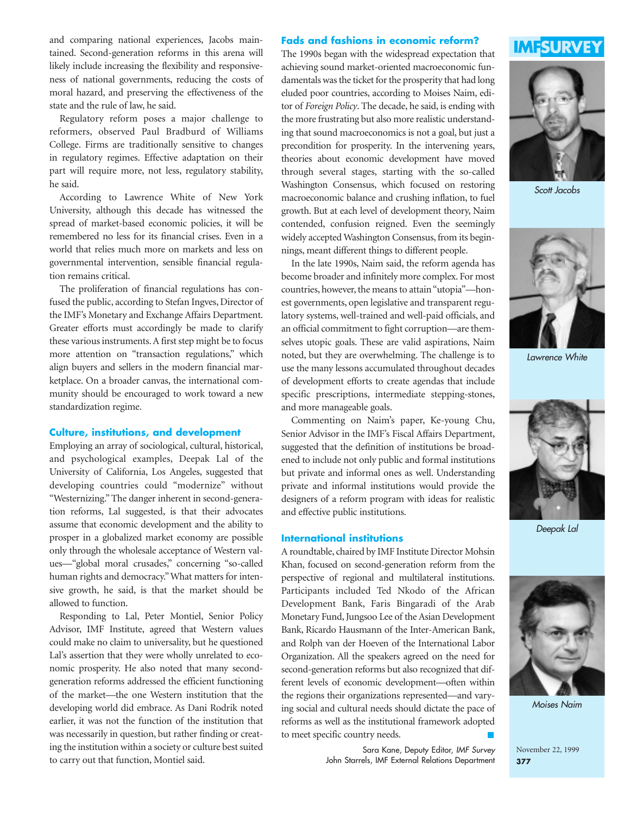and comparing national experiences, Jacobs maintained. Second-generation reforms in this arena will likely include increasing the flexibility and responsiveness of national governments, reducing the costs of moral hazard, and preserving the effectiveness of the state and the rule of law, he said.

Regulatory reform poses a major challenge to reformers, observed Paul Bradburd of Williams College. Firms are traditionally sensitive to changes in regulatory regimes. Effective adaptation on their part will require more, not less, regulatory stability, he said.

According to Lawrence White of New York University, although this decade has witnessed the spread of market-based economic policies, it will be remembered no less for its financial crises. Even in a world that relies much more on markets and less on governmental intervention, sensible financial regulation remains critical.

The proliferation of financial regulations has confused the public, according to Stefan Ingves, Director of the IMF's Monetary and Exchange Affairs Department. Greater efforts must accordingly be made to clarify these various instruments. A first step might be to focus more attention on "transaction regulations," which align buyers and sellers in the modern financial marketplace. On a broader canvas, the international community should be encouraged to work toward a new standardization regime.

#### **Culture, institutions, and development**

Employing an array of sociological, cultural, historical, and psychological examples, Deepak Lal of the University of California, Los Angeles, suggested that developing countries could "modernize" without "Westernizing." The danger inherent in second-generation reforms, Lal suggested, is that their advocates assume that economic development and the ability to prosper in a globalized market economy are possible only through the wholesale acceptance of Western values—"global moral crusades," concerning "so-called human rights and democracy." What matters for intensive growth, he said, is that the market should be allowed to function.

Responding to Lal, Peter Montiel, Senior Policy Advisor, IMF Institute, agreed that Western values could make no claim to universality, but he questioned Lal's assertion that they were wholly unrelated to economic prosperity. He also noted that many secondgeneration reforms addressed the efficient functioning of the market—the one Western institution that the developing world did embrace. As Dani Rodrik noted earlier, it was not the function of the institution that was necessarily in question, but rather finding or creating the institution within a society or culture best suited to carry out that function, Montiel said.

#### **Fads and fashions in economic reform?**

The 1990s began with the widespread expectation that achieving sound market-oriented macroeconomic fundamentals was the ticket for the prosperity that had long eluded poor countries, according to Moises Naim, editor of *Foreign Policy*. The decade, he said, is ending with the more frustrating but also more realistic understanding that sound macroeconomics is not a goal, but just a precondition for prosperity. In the intervening years, theories about economic development have moved through several stages, starting with the so-called Washington Consensus, which focused on restoring macroeconomic balance and crushing inflation, to fuel growth. But at each level of development theory, Naim contended, confusion reigned. Even the seemingly widely accepted Washington Consensus, from its beginnings, meant different things to different people.

In the late 1990s, Naim said, the reform agenda has become broader and infinitely more complex. For most countries, however, the means to attain "utopia"—honest governments, open legislative and transparent regulatory systems, well-trained and well-paid officials, and an official commitment to fight corruption—are themselves utopic goals. These are valid aspirations, Naim noted, but they are overwhelming. The challenge is to use the many lessons accumulated throughout decades of development efforts to create agendas that include specific prescriptions, intermediate stepping-stones, and more manageable goals.

Commenting on Naim's paper, Ke-young Chu, Senior Advisor in the IMF's Fiscal Affairs Department, suggested that the definition of institutions be broadened to include not only public and formal institutions but private and informal ones as well. Understanding private and informal institutions would provide the designers of a reform program with ideas for realistic and effective public institutions.

#### **International institutions**

A roundtable, chaired by IMF Institute Director Mohsin Khan, focused on second-generation reform from the perspective of regional and multilateral institutions. Participants included Ted Nkodo of the African Development Bank, Faris Bingaradi of the Arab Monetary Fund, Jungsoo Lee of the Asian Development Bank, Ricardo Hausmann of the Inter-American Bank, and Rolph van der Hoeven of the International Labor Organization. All the speakers agreed on the need for second-generation reforms but also recognized that different levels of economic development—often within the regions their organizations represented—and varying social and cultural needs should dictate the pace of reforms as well as the institutional framework adopted to meet specific country needs.

> Sara Kane, Deputy Editor, *IMF Survey* John Starrels, IMF External Relations Department





*Scott Jacobs*



*Lawrence White*



*Deepak Lal*



*Moises Naim*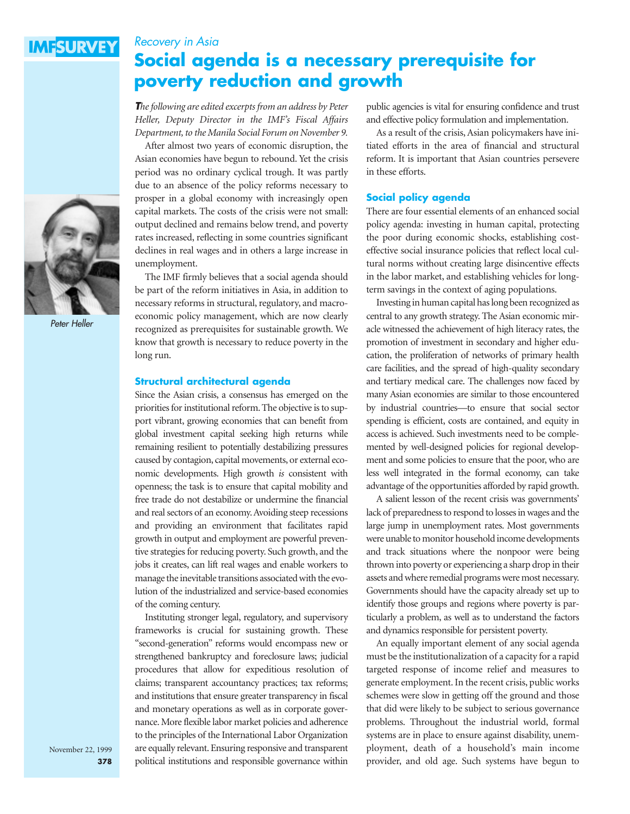# **IMFSURVEY**

# *Recovery in Asia* **Social agenda is a necessary prerequisite for poverty reduction and growth**

*The following are edited excerpts from an address by Peter Heller, Deputy Director in the IMF's Fiscal Affairs Department, to the Manila Social Forum on November 9.*

After almost two years of economic disruption, the Asian economies have begun to rebound. Yet the crisis period was no ordinary cyclical trough. It was partly due to an absence of the policy reforms necessary to prosper in a global economy with increasingly open capital markets. The costs of the crisis were not small: output declined and remains below trend, and poverty rates increased, reflecting in some countries significant declines in real wages and in others a large increase in unemployment.

The IMF firmly believes that a social agenda should be part of the reform initiatives in Asia, in addition to necessary reforms in structural, regulatory, and macroeconomic policy management, which are now clearly recognized as prerequisites for sustainable growth. We know that growth is necessary to reduce poverty in the long run.

#### **Structural architectural agenda**

Since the Asian crisis, a consensus has emerged on the priorities for institutional reform. The objective is to support vibrant, growing economies that can benefit from global investment capital seeking high returns while remaining resilient to potentially destabilizing pressures caused by contagion, capital movements, or external economic developments. High growth *is* consistent with openness; the task is to ensure that capital mobility and free trade do not destabilize or undermine the financial and real sectors of an economy. Avoiding steep recessions and providing an environment that facilitates rapid growth in output and employment are powerful preventive strategies for reducing poverty. Such growth, and the jobs it creates, can lift real wages and enable workers to manage the inevitable transitions associated with the evolution of the industrialized and service-based economies of the coming century.

Instituting stronger legal, regulatory, and supervisory frameworks is crucial for sustaining growth. These "second-generation" reforms would encompass new or strengthened bankruptcy and foreclosure laws; judicial procedures that allow for expeditious resolution of claims; transparent accountancy practices; tax reforms; and institutions that ensure greater transparency in fiscal and monetary operations as well as in corporate governance. More flexible labor market policies and adherence to the principles of the International Labor Organization are equally relevant. Ensuring responsive and transparent political institutions and responsible governance within

public agencies is vital for ensuring confidence and trust and effective policy formulation and implementation.

As a result of the crisis, Asian policymakers have initiated efforts in the area of financial and structural reform. It is important that Asian countries persevere in these efforts.

#### **Social policy agenda**

There are four essential elements of an enhanced social policy agenda: investing in human capital, protecting the poor during economic shocks, establishing costeffective social insurance policies that reflect local cultural norms without creating large disincentive effects in the labor market, and establishing vehicles for longterm savings in the context of aging populations.

Investing in human capital has long been recognized as central to any growth strategy. The Asian economic miracle witnessed the achievement of high literacy rates, the promotion of investment in secondary and higher education, the proliferation of networks of primary health care facilities, and the spread of high-quality secondary and tertiary medical care. The challenges now faced by many Asian economies are similar to those encountered by industrial countries—to ensure that social sector spending is efficient, costs are contained, and equity in access is achieved. Such investments need to be complemented by well-designed policies for regional development and some policies to ensure that the poor, who are less well integrated in the formal economy, can take advantage of the opportunities afforded by rapid growth.

A salient lesson of the recent crisis was governments' lack of preparedness to respond to losses in wages and the large jump in unemployment rates. Most governments were unable to monitor household income developments and track situations where the nonpoor were being thrown into poverty or experiencing a sharp drop in their assets and where remedial programs were most necessary. Governments should have the capacity already set up to identify those groups and regions where poverty is particularly a problem, as well as to understand the factors and dynamics responsible for persistent poverty.

An equally important element of any social agenda must be the institutionalization of a capacity for a rapid targeted response of income relief and measures to generate employment. In the recent crisis, public works schemes were slow in getting off the ground and those that did were likely to be subject to serious governance problems. Throughout the industrial world, formal systems are in place to ensure against disability, unemployment, death of a household's main income provider, and old age. Such systems have begun to



*Peter Heller*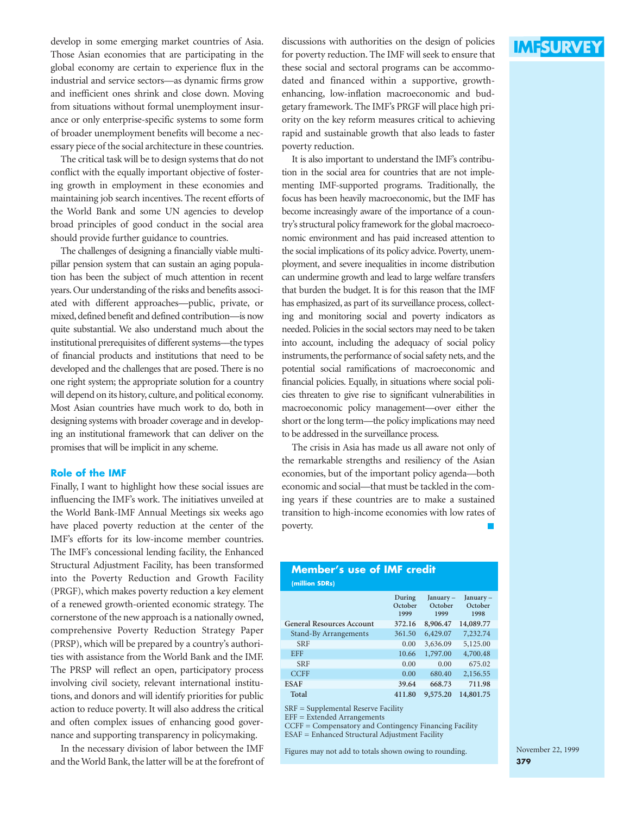develop in some emerging market countries of Asia. Those Asian economies that are participating in the global economy are certain to experience flux in the industrial and service sectors—as dynamic firms grow and inefficient ones shrink and close down. Moving from situations without formal unemployment insurance or only enterprise-specific systems to some form of broader unemployment benefits will become a necessary piece of the social architecture in these countries.

The critical task will be to design systems that do not conflict with the equally important objective of fostering growth in employment in these economies and maintaining job search incentives. The recent efforts of the World Bank and some UN agencies to develop broad principles of good conduct in the social area should provide further guidance to countries.

The challenges of designing a financially viable multipillar pension system that can sustain an aging population has been the subject of much attention in recent years. Our understanding of the risks and benefits associated with different approaches—public, private, or mixed, defined benefit and defined contribution—is now quite substantial. We also understand much about the institutional prerequisites of different systems––the types of financial products and institutions that need to be developed and the challenges that are posed. There is no one right system; the appropriate solution for a country will depend on its history, culture, and political economy. Most Asian countries have much work to do, both in designing systems with broader coverage and in developing an institutional framework that can deliver on the promises that will be implicit in any scheme.

#### **Role of the IMF**

Finally, I want to highlight how these social issues are influencing the IMF's work. The initiatives unveiled at the World Bank-IMF Annual Meetings six weeks ago have placed poverty reduction at the center of the IMF's efforts for its low-income member countries. The IMF's concessional lending facility, the Enhanced Structural Adjustment Facility, has been transformed into the Poverty Reduction and Growth Facility (PRGF), which makes poverty reduction a key element of a renewed growth-oriented economic strategy. The cornerstone of the new approach is a nationally owned, comprehensive Poverty Reduction Strategy Paper (PRSP), which will be prepared by a country's authorities with assistance from the World Bank and the IMF. The PRSP will reflect an open, participatory process involving civil society, relevant international institutions, and donors and will identify priorities for public action to reduce poverty. It will also address the critical and often complex issues of enhancing good governance and supporting transparency in policymaking.

In the necessary division of labor between the IMF and the World Bank, the latter will be at the forefront of discussions with authorities on the design of policies for poverty reduction. The IMF will seek to ensure that these social and sectoral programs can be accommodated and financed within a supportive, growthenhancing, low-inflation macroeconomic and budgetary framework. The IMF's PRGF will place high priority on the key reform measures critical to achieving rapid and sustainable growth that also leads to faster poverty reduction.

It is also important to understand the IMF's contribution in the social area for countries that are not implementing IMF-supported programs. Traditionally, the focus has been heavily macroeconomic, but the IMF has become increasingly aware of the importance of a country's structural policy framework for the global macroeconomic environment and has paid increased attention to the social implications of its policy advice. Poverty, unemployment, and severe inequalities in income distribution can undermine growth and lead to large welfare transfers that burden the budget. It is for this reason that the IMF has emphasized, as part of its surveillance process, collecting and monitoring social and poverty indicators as needed. Policies in the social sectors may need to be taken into account, including the adequacy of social policy instruments, the performance of social safety nets, and the potential social ramifications of macroeconomic and financial policies. Equally, in situations where social policies threaten to give rise to significant vulnerabilities in macroeconomic policy management—over either the short or the long term—the policy implications may need to be addressed in the surveillance process.

The crisis in Asia has made us all aware not only of the remarkable strengths and resiliency of the Asian economies, but of the important policy agenda—both economic and social—that must be tackled in the coming years if these countries are to make a sustained transition to high-income economies with low rates of poverty.

#### **Member's use of IMF credit (million SDRs)**

|                                  | During<br>October<br>1999 | January -<br>October<br>1999 | January-<br>October<br>1998 |
|----------------------------------|---------------------------|------------------------------|-----------------------------|
| <b>General Resources Account</b> | 372.16                    | 8,906.47                     | 14,089.77                   |
| Stand-By Arrangements            | 361.50                    | 6,429.07                     | 7,232.74                    |
| <b>SRF</b>                       | 0.00                      | 3,636.09                     | 5,125.00                    |
| <b>EFF</b>                       | 10.66                     | 1,797.00                     | 4,700.48                    |
| <b>SRF</b>                       | 0.00                      | 0.00                         | 675.02                      |
| <b>CCFF</b>                      | 0.00                      | 680.40                       | 2,156.55                    |
| <b>ESAF</b>                      | 39.64                     | 668.73                       | 711.98                      |
| Total                            | 411.80                    | 9,575.20                     | 14,801.75                   |

SRF = Supplemental Reserve Facility

EFF = Extended Arrangements

CCFF = Compensatory and Contingency Financing Facility

ESAF = Enhanced Structural Adjustment Facility

Figures may not add to totals shown owing to rounding.

**IMFSURVEY**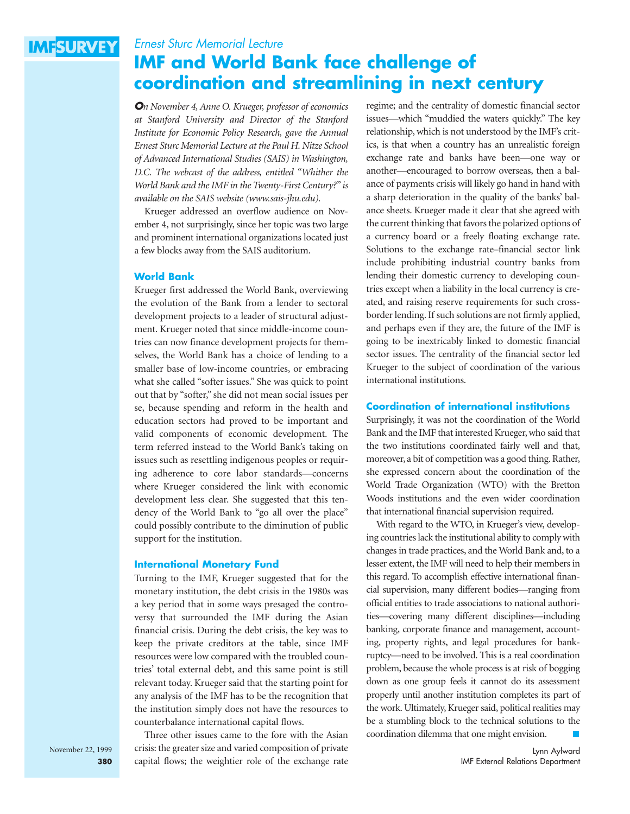# **IMFSURVEY**

# *Ernest Sturc Memorial Lecture* **IMF and World Bank face challenge of coordination and streamlining in next century**

*On November 4, Anne O. Krueger, professor of economics at Stanford University and Director of the Stanford Institute for Economic Policy Research, gave the Annual Ernest Sturc Memorial Lecture at the Paul H. Nitze School of Advanced International Studies (SAIS) in Washington, D.C. The webcast of the address, entitled "Whither the World Bank and the IMF in the Twenty-First Century?" is available on the SAIS website (www.sais-jhu.edu).*

Krueger addressed an overflow audience on November 4, not surprisingly, since her topic was two large and prominent international organizations located just a few blocks away from the SAIS auditorium.

#### **World Bank**

Krueger first addressed the World Bank, overviewing the evolution of the Bank from a lender to sectoral development projects to a leader of structural adjustment. Krueger noted that since middle-income countries can now finance development projects for themselves, the World Bank has a choice of lending to a smaller base of low-income countries, or embracing what she called "softer issues." She was quick to point out that by "softer," she did not mean social issues per se, because spending and reform in the health and education sectors had proved to be important and valid components of economic development. The term referred instead to the World Bank's taking on issues such as resettling indigenous peoples or requiring adherence to core labor standards—concerns where Krueger considered the link with economic development less clear. She suggested that this tendency of the World Bank to "go all over the place" could possibly contribute to the diminution of public support for the institution.

#### **International Monetary Fund**

Turning to the IMF, Krueger suggested that for the monetary institution, the debt crisis in the 1980s was a key period that in some ways presaged the controversy that surrounded the IMF during the Asian financial crisis. During the debt crisis, the key was to keep the private creditors at the table, since IMF resources were low compared with the troubled countries' total external debt, and this same point is still relevant today. Krueger said that the starting point for

any analysis of the IMF has to be the recognition that the institution simply does not have the resources to counterbalance international capital flows. Three other issues came to the fore with the Asian crisis: the greater size and varied composition of private regime; and the centrality of domestic financial sector issues—which "muddied the waters quickly." The key relationship, which is not understood by the IMF's critics, is that when a country has an unrealistic foreign exchange rate and banks have been—one way or another—encouraged to borrow overseas, then a balance of payments crisis will likely go hand in hand with a sharp deterioration in the quality of the banks' balance sheets. Krueger made it clear that she agreed with the current thinking that favors the polarized options of a currency board or a freely floating exchange rate. Solutions to the exchange rate–financial sector link include prohibiting industrial country banks from lending their domestic currency to developing countries except when a liability in the local currency is created, and raising reserve requirements for such crossborder lending. If such solutions are not firmly applied, and perhaps even if they are, the future of the IMF is going to be inextricably linked to domestic financial sector issues. The centrality of the financial sector led Krueger to the subject of coordination of the various international institutions.

#### **Coordination of international institutions**

Surprisingly, it was not the coordination of the World Bank and the IMF that interested Krueger, who said that the two institutions coordinated fairly well and that, moreover, a bit of competition was a good thing. Rather, she expressed concern about the coordination of the World Trade Organization (WTO) with the Bretton Woods institutions and the even wider coordination that international financial supervision required.

With regard to the WTO, in Krueger's view, developing countries lack the institutional ability to comply with changes in trade practices, and the World Bank and, to a lesser extent, the IMF will need to help their members in this regard. To accomplish effective international financial supervision, many different bodies—ranging from official entities to trade associations to national authorities—covering many different disciplines—including banking, corporate finance and management, accounting, property rights, and legal procedures for bankruptcy—need to be involved. This is a real coordination problem, because the whole process is at risk of bogging down as one group feels it cannot do its assessment properly until another institution completes its part of the work. Ultimately, Krueger said, political realities may be a stumbling block to the technical solutions to the coordination dilemma that one might envision.

> Lynn Aylward IMF External Relations Department

capital flows; the weightier role of the exchange rate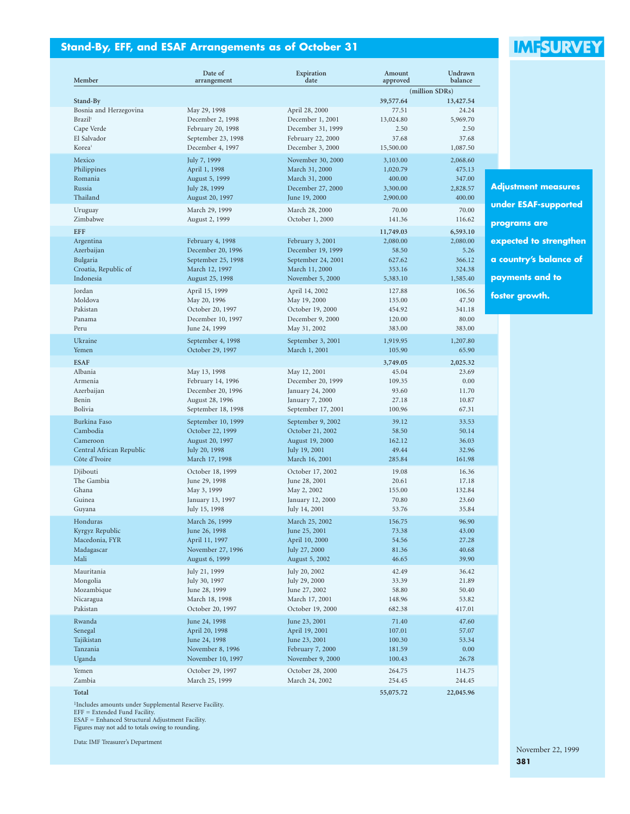# **Stand-By, EFF, and ESAF Arrangements as of October 31**

# **IMFSURVEY**

| Member                                    | Date of<br>arrangement          | Expiration<br>date               | Amount<br>approved | Undrawn<br>balance |                             |
|-------------------------------------------|---------------------------------|----------------------------------|--------------------|--------------------|-----------------------------|
|                                           |                                 |                                  |                    | (million SDRs)     |                             |
| Stand-By                                  |                                 |                                  | 39,577.64          | 13,427.54          |                             |
| Bosnia and Herzegovina                    | May 29, 1998                    | April 28, 2000                   | 77.51              | 24.24              |                             |
| <b>Brazil</b> <sup>1</sup>                | December 2, 1998                | December 1, 2001                 | 13,024.80          | 5,969.70           |                             |
| Cape Verde                                | February 20, 1998               | December 31, 1999                | 2.50               | 2.50               |                             |
| El Salvador                               | September 23, 1998              | February 22, 2000                | 37.68              | 37.68              |                             |
| Korea <sup>1</sup>                        | December 4, 1997                | December 3, 2000                 | 15,500.00          | 1,087.50           |                             |
| Mexico                                    | July 7, 1999                    | November 30, 2000                | 3,103.00           | 2,068.60           |                             |
| Philippines                               | April 1, 1998                   | March 31, 2000                   | 1,020.79           | 475.13             |                             |
| Romania                                   | August 5, 1999                  | March 31, 2000                   | 400.00             | 347.00             |                             |
| Russia                                    | July 28, 1999                   | December 27, 2000                | 3,300.00           | 2,828.57           | <b>Adjustment measures</b>  |
| Thailand                                  | August 20, 1997                 | June 19, 2000                    | 2,900.00           | 400.00             | <b>under ESAF-supported</b> |
| Uruguay                                   | March 29, 1999                  | March 28, 2000                   | 70.00              | 70.00              |                             |
| Zimbabwe                                  | August 2, 1999                  | October 1, 2000                  | 141.36             | 116.62             | programs are                |
| <b>EFF</b>                                |                                 |                                  | 11,749.03          | 6,593.10           |                             |
| Argentina                                 | February 4, 1998                | February 3, 2001                 | 2,080.00           | 2,080.00           | expected to strengthen      |
| Azerbaijan                                | December 20, 1996               | December 19, 1999                | 58.50              | 5.26               |                             |
| Bulgaria                                  | September 25, 1998              | September 24, 2001               | 627.62             | 366.12             | a country's balance of      |
| Croatia, Republic of                      | March 12, 1997                  | March 11, 2000                   | 353.16             | 324.38             |                             |
| Indonesia                                 | August 25, 1998                 | November 5, 2000                 | 5,383.10           | 1,585.40           | payments and to             |
| Jordan                                    | April 15, 1999                  | April 14, 2002                   | 127.88             | 106.56             | foster growth.              |
| Moldova                                   | May 20, 1996                    | May 19, 2000                     | 135.00             | 47.50              |                             |
| Pakistan                                  | October 20, 1997                | October 19, 2000                 | 454.92             | 341.18             |                             |
| Panama                                    | December 10, 1997               | December 9, 2000                 | 120.00             | 80.00              |                             |
| Peru                                      | June 24, 1999                   | May 31, 2002                     | 383.00             | 383.00             |                             |
| Ukraine                                   | September 4, 1998               | September 3, 2001                | 1,919.95           | 1,207.80           |                             |
| Yemen                                     | October 29, 1997                | March 1, 2001                    | 105.90             | 65.90              |                             |
| <b>ESAF</b>                               |                                 |                                  | 3,749.05           | 2,025.32           |                             |
| Albania                                   | May 13, 1998                    | May 12, 2001                     | 45.04              | 23.69              |                             |
| Armenia                                   | February 14, 1996               | December 20, 1999                | 109.35             | 0.00               |                             |
| Azerbaijan                                | December 20, 1996               | January 24, 2000                 | 93.60              | 11.70              |                             |
| Benin                                     | August 28, 1996                 | January 7, 2000                  | 27.18              | 10.87              |                             |
| Bolivia                                   | September 18, 1998              | September 17, 2001               | 100.96             | 67.31              |                             |
| Burkina Faso                              | September 10, 1999              | September 9, 2002                | 39.12              | 33.53              |                             |
| Cambodia                                  | October 22, 1999                | October 21, 2002                 | 58.50              | 50.14              |                             |
| Cameroon                                  | August 20, 1997                 | August 19, 2000<br>July 19, 2001 | 162.12<br>49.44    | 36.03<br>32.96     |                             |
| Central African Republic<br>Côte d'Ivoire | July 20, 1998<br>March 17, 1998 | March 16, 2001                   | 285.84             | 161.98             |                             |
|                                           |                                 |                                  |                    |                    |                             |
| Djibouti                                  | October 18, 1999                | October 17, 2002                 | 19.08              | 16.36              |                             |
| The Gambia<br>Ghana                       | June 29, 1998<br>May 3, 1999    | June 28, 2001<br>May 2, 2002     | 20.61<br>155.00    | 17.18<br>132.84    |                             |
| Guinea                                    | January 13, 1997                | January 12, 2000                 | 70.80              | 23.60              |                             |
| Guyana                                    | July 15, 1998                   | July 14, 2001                    | 53.76              | 35.84              |                             |
| Honduras                                  | March 26, 1999                  | March 25, 2002                   | 156.75             | 96.90              |                             |
| Kyrgyz Republic                           | June 26, 1998                   | June 25, 2001                    | 73.38              | 43.00              |                             |
| Macedonia, FYR                            | April 11, 1997                  | April 10, 2000                   | 54.56              | 27.28              |                             |
| Madagascar                                | November 27, 1996               | July 27, 2000                    | 81.36              | 40.68              |                             |
| Mali                                      | August 6, 1999                  | August 5, 2002                   | 46.65              | 39.90              |                             |
| Mauritania                                | July 21, 1999                   | July 20, 2002                    | 42.49              | 36.42              |                             |
| Mongolia                                  | July 30, 1997                   | July 29, 2000                    | 33.39              | 21.89              |                             |
| Mozambique                                | June 28, 1999                   | June 27, 2002                    | 58.80              | 50.40              |                             |
| Nicaragua                                 | March 18, 1998                  | March 17, 2001                   | 148.96             | 53.82              |                             |
| Pakistan                                  | October 20, 1997                | October 19, 2000                 | 682.38             | 417.01             |                             |
| Rwanda                                    | June 24, 1998                   | June 23, 2001                    | 71.40              | 47.60              |                             |
| Senegal                                   | April 20, 1998                  | April 19, 2001                   | 107.01             | 57.07              |                             |
| Tajikistan                                | June 24, 1998                   | June 23, 2001                    | 100.30             | 53.34              |                             |
| Tanzania                                  | November 8, 1996                | February 7, 2000                 | 181.59             | 0.00               |                             |
| Uganda                                    | November 10, 1997               | November 9, 2000                 | 100.43             | 26.78              |                             |
| Yemen                                     | October 29, 1997                | October 28, 2000                 | 264.75             | 114.75             |                             |
| Zambia                                    | March 25, 1999                  | March 24, 2002                   | 254.45             | 244.45             |                             |
| Total                                     |                                 |                                  | 55,075.72          | 22,045.96          |                             |

1Includes amounts under Supplemental Reserve Facility. EFF = Extended Fund Facility. ESAF = Enhanced Structural Adjustment Facility. Figures may not add to totals owing to rounding.

Data: IMF Treasurer's Department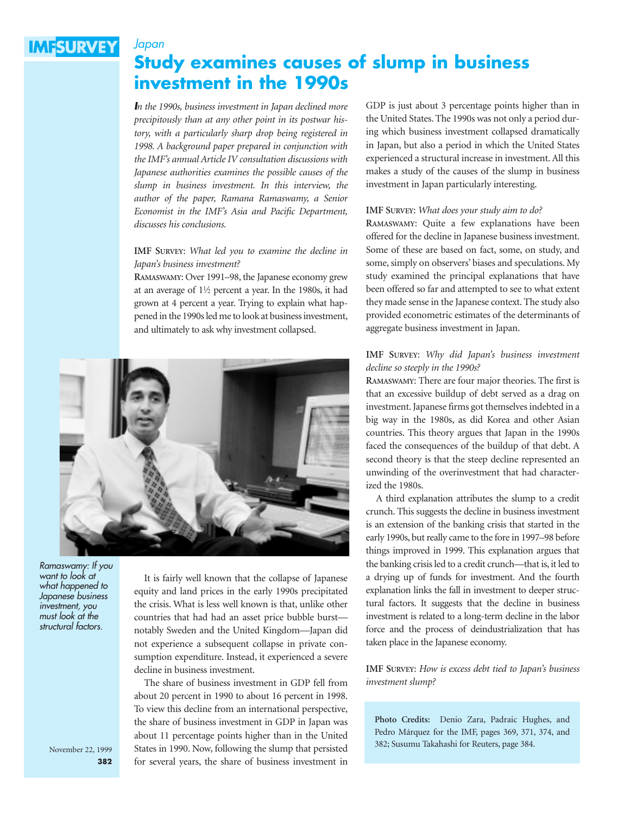# **IMFSURVEY**

*Japan*

# **Study examines causes of slump in business investment in the 1990s**

*In the 1990s, business investment in Japan declined more precipitously than at any other point in its postwar history, with a particularly sharp drop being registered in 1998. A background paper prepared in conjunction with the IMF's annual Article IV consultation discussions with Japanese authorities examines the possible causes of the slump in business investment. In this interview, the author of the paper, Ramana Ramaswamy, a Senior Economist in the IMF's Asia and Pacific Department, discusses his conclusions.*

#### **IMF SURVEY**: *What led you to examine the decline in Japan's business investment?*

**RAMASWAMY**: Over 1991–98, the Japanese economy grew at an average of  $1\frac{1}{2}$  percent a year. In the 1980s, it had grown at 4 percent a year. Trying to explain what happened in the 1990s led me to look at business investment, and ultimately to ask why investment collapsed.



*Ramaswamy: If you want to look at what happened to Japanese business investment, you must look at the structural factors.*

It is fairly well known that the collapse of Japanese equity and land prices in the early 1990s precipitated the crisis. What is less well known is that, unlike other countries that had had an asset price bubble burst notably Sweden and the United Kingdom—Japan did not experience a subsequent collapse in private consumption expenditure. Instead, it experienced a severe decline in business investment.

The share of business investment in GDP fell from about 20 percent in 1990 to about 16 percent in 1998. To view this decline from an international perspective, the share of business investment in GDP in Japan was about 11 percentage points higher than in the United States in 1990. Now, following the slump that persisted for several years, the share of business investment in

GDP is just about 3 percentage points higher than in the United States. The 1990s was not only a period during which business investment collapsed dramatically in Japan, but also a period in which the United States experienced a structural increase in investment. All this makes a study of the causes of the slump in business investment in Japan particularly interesting.

#### **IMF SURVEY**: *What does your study aim to do?*

**RAMASWAMY**: Quite a few explanations have been offered for the decline in Japanese business investment. Some of these are based on fact, some, on study, and some, simply on observers' biases and speculations. My study examined the principal explanations that have been offered so far and attempted to see to what extent they made sense in the Japanese context. The study also provided econometric estimates of the determinants of aggregate business investment in Japan.

#### **IMF SURVEY**: *Why did Japan's business investment decline so steeply in the 1990s?*

**RAMASWAMY**: There are four major theories. The first is that an excessive buildup of debt served as a drag on investment. Japanese firms got themselves indebted in a big way in the 1980s, as did Korea and other Asian countries. This theory argues that Japan in the 1990s faced the consequences of the buildup of that debt. A second theory is that the steep decline represented an unwinding of the overinvestment that had characterized the 1980s.

A third explanation attributes the slump to a credit crunch. This suggests the decline in business investment is an extension of the banking crisis that started in the early 1990s, but really came to the fore in 1997–98 before things improved in 1999. This explanation argues that the banking crisis led to a credit crunch—that is, it led to a drying up of funds for investment. And the fourth explanation links the fall in investment to deeper structural factors. It suggests that the decline in business investment is related to a long-term decline in the labor force and the process of deindustrialization that has taken place in the Japanese economy.

**IMF SURVEY**: *How is excess debt tied to Japan's business investment slump?*

**Photo Credits:** Denio Zara, Padraic Hughes, and Pedro Márquez for the IMF, pages 369, 371, 374, and 382; Susumu Takahashi for Reuters, page 384.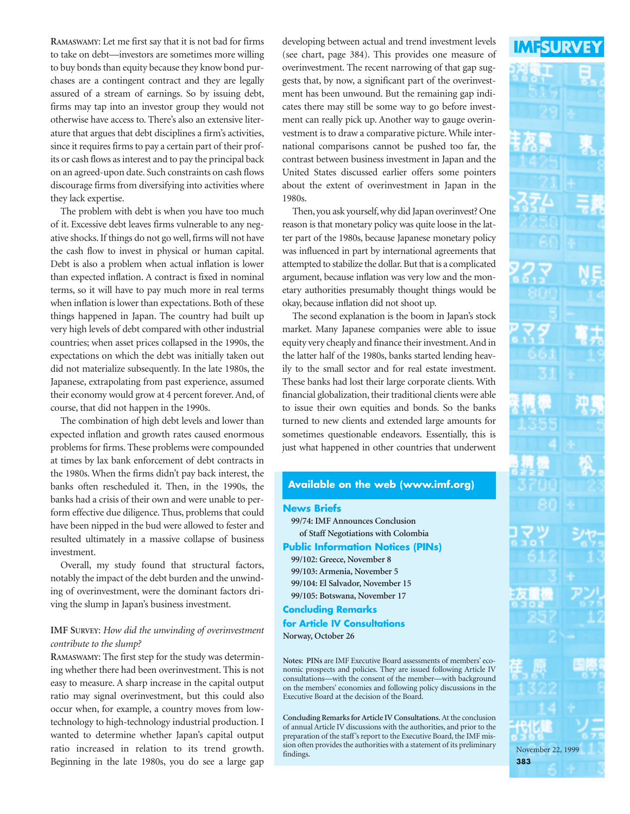**RAMASWAMY**: Let me first say that it is not bad for firms to take on debt—investors are sometimes more willing to buy bonds than equity because they know bond purchases are a contingent contract and they are legally assured of a stream of earnings. So by issuing debt, firms may tap into an investor group they would not otherwise have access to. There's also an extensive literature that argues that debt disciplines a firm's activities, since it requires firms to pay a certain part of their profits or cash flows as interest and to pay the principal back on an agreed-upon date. Such constraints on cash flows discourage firms from diversifying into activities where they lack expertise.

The problem with debt is when you have too much of it. Excessive debt leaves firms vulnerable to any negative shocks. If things do not go well, firms will not have the cash flow to invest in physical or human capital. Debt is also a problem when actual inflation is lower than expected inflation. A contract is fixed in nominal terms, so it will have to pay much more in real terms when inflation is lower than expectations. Both of these things happened in Japan. The country had built up very high levels of debt compared with other industrial countries; when asset prices collapsed in the 1990s, the expectations on which the debt was initially taken out did not materialize subsequently. In the late 1980s, the Japanese, extrapolating from past experience, assumed their economy would grow at 4 percent forever. And, of course, that did not happen in the 1990s.

The combination of high debt levels and lower than expected inflation and growth rates caused enormous problems for firms. These problems were compounded at times by lax bank enforcement of debt contracts in the 1980s. When the firms didn't pay back interest, the banks often rescheduled it. Then, in the 1990s, the banks had a crisis of their own and were unable to perform effective due diligence. Thus, problems that could have been nipped in the bud were allowed to fester and resulted ultimately in a massive collapse of business investment.

Overall, my study found that structural factors, notably the impact of the debt burden and the unwinding of overinvestment, were the dominant factors driving the slump in Japan's business investment.

## **IMF SURVEY**: *How did the unwinding of overinvestment contribute to the slump?*

**RAMASWAMY**: The first step for the study was determining whether there had been overinvestment. This is not easy to measure. A sharp increase in the capital output ratio may signal overinvestment, but this could also occur when, for example, a country moves from lowtechnology to high-technology industrial production. I wanted to determine whether Japan's capital output ratio increased in relation to its trend growth. Beginning in the late 1980s, you do see a large gap developing between actual and trend investment levels (see chart, page 384). This provides one measure of overinvestment. The recent narrowing of that gap suggests that, by now, a significant part of the overinvestment has been unwound. But the remaining gap indicates there may still be some way to go before investment can really pick up. Another way to gauge overinvestment is to draw a comparative picture. While international comparisons cannot be pushed too far, the contrast between business investment in Japan and the United States discussed earlier offers some pointers about the extent of overinvestment in Japan in the 1980s.

Then, you ask yourself, why did Japan overinvest? One reason is that monetary policy was quite loose in the latter part of the 1980s, because Japanese monetary policy was influenced in part by international agreements that attempted to stabilize the dollar. But that is a complicated argument, because inflation was very low and the monetary authorities presumably thought things would be okay, because inflation did not shoot up.

The second explanation is the boom in Japan's stock market. Many Japanese companies were able to issue equity very cheaply and finance their investment.And in the latter half of the 1980s, banks started lending heavily to the small sector and for real estate investment. These banks had lost their large corporate clients. With financial globalization, their traditional clients were able to issue their own equities and bonds. So the banks turned to new clients and extended large amounts for sometimes questionable endeavors. Essentially, this is just what happened in other countries that underwent

#### **Available on the web (www.imf.org)**

#### **News Briefs**

**99/74: IMF Announces Conclusion of Staff Negotiations with Colombia**

#### **Public Information Notices (PINs)**

**99/102: Greece, November 8 99/103: Armenia, November 5 99/104: El Salvador, November 15 99/105: Botswana, November 17**

#### **Concluding Remarks**

**for Article IV Consultations**

#### **Norway, October 26**

**Notes: PINs** are IMF Executive Board assessments of members' economic prospects and policies. They are issued following Article IV consultations—with the consent of the member—with background on the members' economies and following policy discussions in the Executive Board at the decision of the Board.

**Concluding Remarks for Article IV Consultations.**At the conclusion of annual Article IV discussions with the authorities, and prior to the preparation of the staff's report to the Executive Board, the IMF mission often provides the authorities with a statement of its preliminary findings.